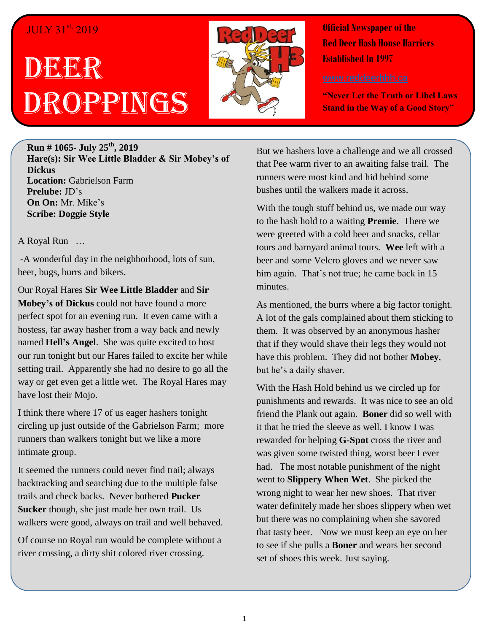## JULY 31st, 2019

## DBGEGR Droppings



**Official Newspaper of the Red Deer Hash House Harriers Established In 1997** 

**"Never Let the Truth or Libel Laws Stand in the Way of a Good Story"**

**Run # 1065- July 25th, 2019 Hare(s): Sir Wee Little Bladder & Sir Mobey's of Dickus Location:** Gabrielson Farm **Prelube:** JD's **On On:** Mr. Mike's **Scribe: Doggie Style**

## A Royal Run …

-A wonderful day in the neighborhood, lots of sun, beer, bugs, burrs and bikers.

Our Royal Hares **Sir Wee Little Bladder** and **Sir Mobey's of Dickus** could not have found a more perfect spot for an evening run. It even came with a hostess, far away hasher from a way back and newly named **Hell's Angel**. She was quite excited to host our run tonight but our Hares failed to excite her while setting trail. Apparently she had no desire to go all the way or get even get a little wet. The Royal Hares may have lost their Mojo.

I think there where 17 of us eager hashers tonight circling up just outside of the Gabrielson Farm; more runners than walkers tonight but we like a more intimate group.

It seemed the runners could never find trail; always backtracking and searching due to the multiple false trails and check backs. Never bothered **Pucker Sucker** though, she just made her own trail. Us walkers were good, always on trail and well behaved.

Of course no Royal run would be complete without a river crossing, a dirty shit colored river crossing.

But we hashers love a challenge and we all crossed that Pee warm river to an awaiting false trail. The runners were most kind and hid behind some bushes until the walkers made it across.

With the tough stuff behind us, we made our way to the hash hold to a waiting **Premie**. There we were greeted with a cold beer and snacks, cellar tours and barnyard animal tours. **Wee** left with a beer and some Velcro gloves and we never saw him again. That's not true; he came back in 15 minutes.

As mentioned, the burrs where a big factor tonight. A lot of the gals complained about them sticking to them. It was observed by an anonymous hasher that if they would shave their legs they would not have this problem. They did not bother **Mobey**, but he's a daily shaver.

With the Hash Hold behind us we circled up for punishments and rewards. It was nice to see an old friend the Plank out again. **Boner** did so well with it that he tried the sleeve as well. I know I was rewarded for helping **G-Spot** cross the river and was given some twisted thing, worst beer I ever had. The most notable punishment of the night went to **Slippery When Wet**. She picked the wrong night to wear her new shoes. That river water definitely made her shoes slippery when wet but there was no complaining when she savored that tasty beer. Now we must keep an eye on her to see if she pulls a **Boner** and wears her second set of shoes this week. Just saying.